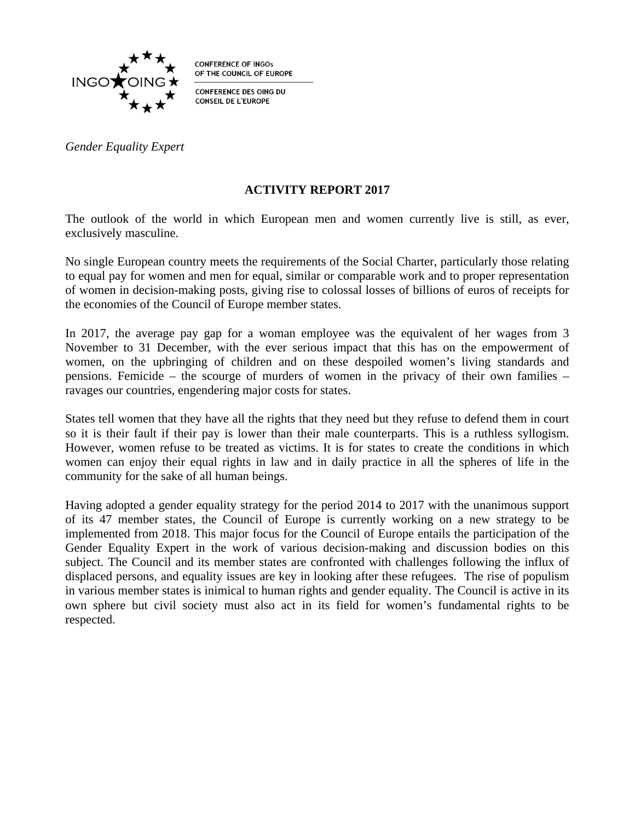

**CONFERENCE OF INGOS** OF THE COUNCIL OF EUROPE

**CONFERENCE DES OING DU CONSEIL DE L'EUROPE** 

*Gender Equality Expert*

#### **ACTIVITY REPORT 2017**

The outlook of the world in which European men and women currently live is still, as ever, exclusively masculine.

No single European country meets the requirements of the Social Charter, particularly those relating to equal pay for women and men for equal, similar or comparable work and to proper representation of women in decision-making posts, giving rise to colossal losses of billions of euros of receipts for the economies of the Council of Europe member states.

In 2017, the average pay gap for a woman employee was the equivalent of her wages from 3 November to 31 December, with the ever serious impact that this has on the empowerment of women, on the upbringing of children and on these despoiled women's living standards and pensions. Femicide – the scourge of murders of women in the privacy of their own families – ravages our countries, engendering major costs for states.

States tell women that they have all the rights that they need but they refuse to defend them in court so it is their fault if their pay is lower than their male counterparts. This is a ruthless syllogism. However, women refuse to be treated as victims. It is for states to create the conditions in which women can enjoy their equal rights in law and in daily practice in all the spheres of life in the community for the sake of all human beings.

Having adopted a gender equality strategy for the period 2014 to 2017 with the unanimous support of its 47 member states, the Council of Europe is currently working on a new strategy to be implemented from 2018. This major focus for the Council of Europe entails the participation of the Gender Equality Expert in the work of various decision-making and discussion bodies on this subject. The Council and its member states are confronted with challenges following the influx of displaced persons, and equality issues are key in looking after these refugees. The rise of populism in various member states is inimical to human rights and gender equality. The Council is active in its own sphere but civil society must also act in its field for women's fundamental rights to be respected.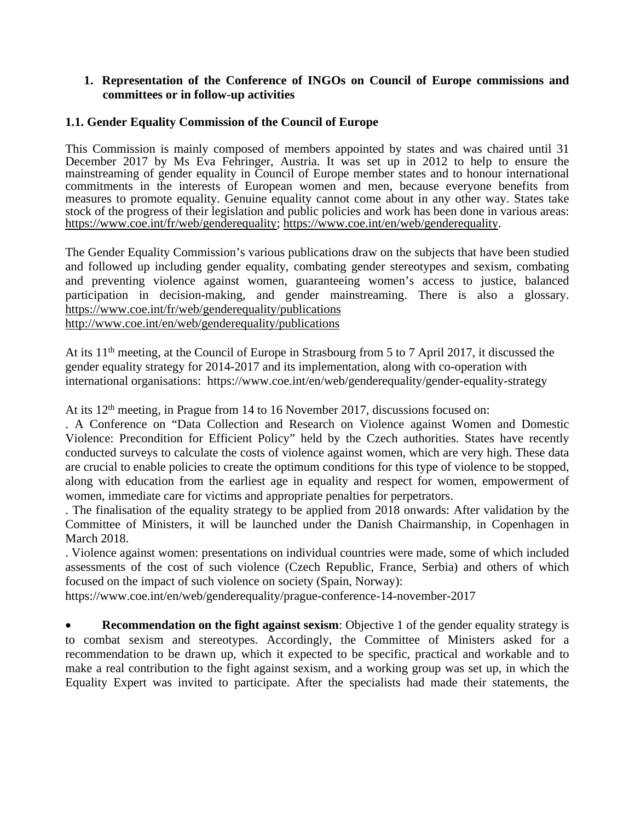#### **1. Representation of the Conference of INGOs on Council of Europe commissions and committees or in follow-up activities**

## **1.1. Gender Equality Commission of the Council of Europe**

This Commission is mainly composed of members appointed by states and was chaired until 31 December 2017 by Ms Eva Fehringer, Austria. It was set up in 2012 to help to ensure the mainstreaming of gender equality in Council of Europe member states and to honour international commitments in the interests of European women and men, because everyone benefits from measures to promote equality. Genuine equality cannot come about in any other way. States take stock of the progress of their legislation and public policies and work has been done in various areas: [https://www.coe.int/fr/web/genderequality;](https://www.coe.int/fr/web/genderequality) [https://www.coe.int/en/web/genderequality.](https://www.coe.int/en/web/genderequality)

The Gender Equality Commission's various publications draw on the subjects that have been studied and followed up including gender equality, combating gender stereotypes and sexism, combating and preventing violence against women, guaranteeing women's access to justice, balanced participation in decision-making, and gender mainstreaming. There is also a glossary. <https://www.coe.int/fr/web/genderequality/publications> <http://www.coe.int/en/web/genderequality/publications>

At its 11th meeting, at the Council of Europe in Strasbourg from 5 to 7 April 2017, it discussed the gender equality strategy for 2014-2017 and its implementation, along with co-operation with international organisations:https://www.coe.int/en/web/genderequality/gender-equality-strategy

At its 12th meeting, in Prague from 14 to 16 November 2017, discussions focused on:

. A Conference on "Data Collection and Research on Violence against Women and Domestic Violence: Precondition for Efficient Policy" held by the Czech authorities. States have recently conducted surveys to calculate the costs of violence against women, which are very high. These data are crucial to enable policies to create the optimum conditions for this type of violence to be stopped, along with education from the earliest age in equality and respect for women, empowerment of women, immediate care for victims and appropriate penalties for perpetrators.

. The finalisation of the equality strategy to be applied from 2018 onwards: After validation by the Committee of Ministers, it will be launched under the Danish Chairmanship, in Copenhagen in March 2018.

. Violence against women: presentations on individual countries were made, some of which included assessments of the cost of such violence (Czech Republic, France, Serbia) and others of which focused on the impact of such violence on society (Spain, Norway):

https://www.coe.int/en/web/genderequality/prague-conference-14-november-2017

**Recommendation on the fight against sexism:** Objective 1 of the gender equality strategy is to combat sexism and stereotypes. Accordingly, the Committee of Ministers asked for a recommendation to be drawn up, which it expected to be specific, practical and workable and to make a real contribution to the fight against sexism, and a working group was set up, in which the Equality Expert was invited to participate. After the specialists had made their statements, the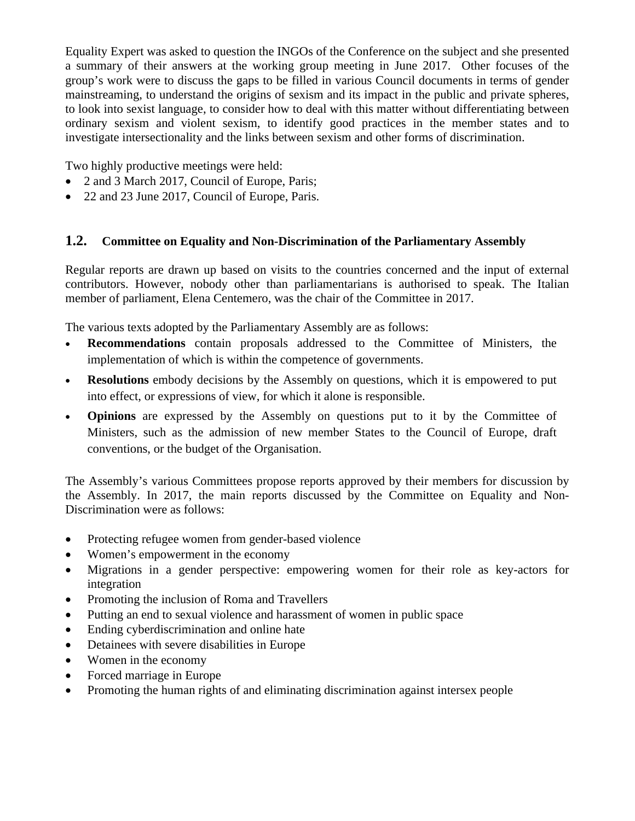Equality Expert was asked to question the INGOs of the Conference on the subject and she presented a summary of their answers at the working group meeting in June 2017. Other focuses of the group's work were to discuss the gaps to be filled in various Council documents in terms of gender mainstreaming, to understand the origins of sexism and its impact in the public and private spheres, to look into sexist language, to consider how to deal with this matter without differentiating between ordinary sexism and violent sexism, to identify good practices in the member states and to investigate intersectionality and the links between sexism and other forms of discrimination.

Two highly productive meetings were held:

- 2 and 3 March 2017, Council of Europe, Paris;
- 22 and 23 June 2017, Council of Europe, Paris.

# **1.2. Committee on Equality and Non-Discrimination of the Parliamentary Assembly**

Regular reports are drawn up based on visits to the countries concerned and the input of external contributors. However, nobody other than parliamentarians is authorised to speak. The Italian member of parliament, Elena Centemero, was the chair of the Committee in 2017.

The various texts adopted by the Parliamentary Assembly are as follows:

- **Recommendations** contain proposals addressed to the Committee of Ministers, the implementation of which is within the competence of governments.
- **Resolutions** embody decisions by the Assembly on questions, which it is empowered to put into effect, or expressions of view, for which it alone is responsible.
- **Opinions** are expressed by the Assembly on questions put to it by the Committee of Ministers, such as the admission of new member States to the Council of Europe, draft conventions, or the budget of the Organisation.

The Assembly's various Committees propose reports approved by their members for discussion by the Assembly. In 2017, the main reports discussed by the Committee on Equality and Non-Discrimination were as follows:

- Protecting refugee women from gender-based violence
- Women's empowerment in the economy
- Migrations in a gender perspective: empowering women for their role as key-actors for integration
- Promoting the inclusion of Roma and Travellers
- Putting an end to sexual violence and harassment of women in public space
- Ending cyberdiscrimination and online hate
- Detainees with severe disabilities in Europe
- Women in the economy
- Forced marriage in Europe
- Promoting the human rights of and eliminating discrimination against intersex people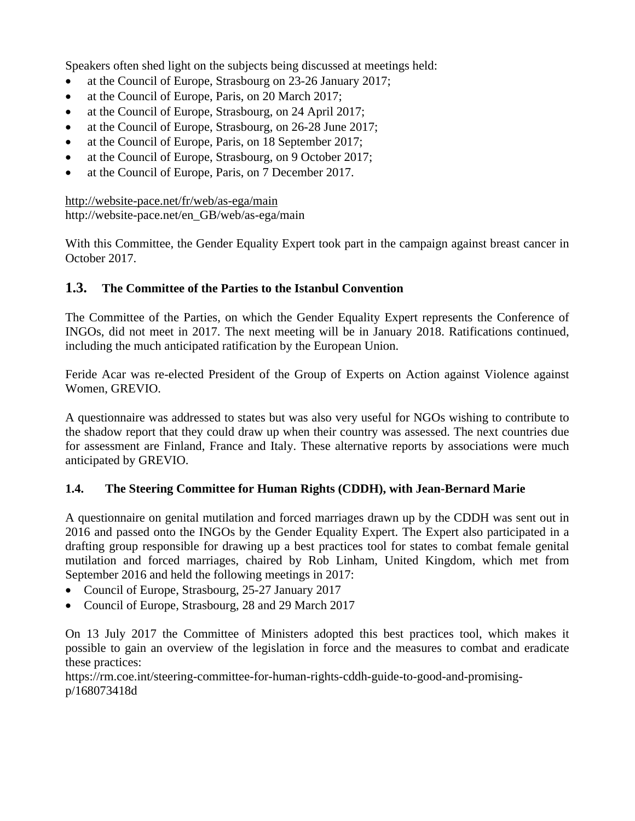Speakers often shed light on the subjects being discussed at meetings held:

- at the Council of Europe, Strasbourg on 23-26 January 2017;
- at the Council of Europe, Paris, on 20 March 2017;
- at the Council of Europe, Strasbourg, on 24 April 2017;
- at the Council of Europe, Strasbourg, on 26-28 June 2017;
- at the Council of Europe, Paris, on 18 September 2017;
- at the Council of Europe, Strasbourg, on 9 October 2017;
- at the Council of Europe, Paris, on 7 December 2017.

<http://website-pace.net/fr/web/as-ega/main> http://website-pace.net/en\_GB/web/as-ega/main

With this Committee, the Gender Equality Expert took part in the campaign against breast cancer in October 2017.

# **1.3. The Committee of the Parties to the Istanbul Convention**

The Committee of the Parties, on which the Gender Equality Expert represents the Conference of INGOs, did not meet in 2017. The next meeting will be in January 2018. Ratifications continued, including the much anticipated ratification by the European Union.

Feride Acar was re-elected President of the Group of Experts on Action against Violence against Women, GREVIO.

A questionnaire was addressed to states but was also very useful for NGOs wishing to contribute to the shadow report that they could draw up when their country was assessed. The next countries due for assessment are Finland, France and Italy. These alternative reports by associations were much anticipated by GREVIO.

## **1.4. The Steering Committee for Human Rights (CDDH), with Jean-Bernard Marie**

A questionnaire on genital mutilation and forced marriages drawn up by the CDDH was sent out in 2016 and passed onto the INGOs by the Gender Equality Expert. The Expert also participated in a drafting group responsible for drawing up a best practices tool for states to combat female genital mutilation and forced marriages, chaired by Rob Linham, United Kingdom, which met from September 2016 and held the following meetings in 2017:

- Council of Europe, Strasbourg, 25-27 January 2017
- Council of Europe, Strasbourg, 28 and 29 March 2017

On 13 July 2017 the Committee of Ministers adopted this best practices tool, which makes it possible to gain an overview of the legislation in force and the measures to combat and eradicate these practices:

[https://rm.coe.int/steering-committee-for-human-rights-cddh-guide-to-good-and-promising](https://rm.coe.int/steering-committee-for-human-rights-cddh-guide-to-good-and-promising-p/168073418d)[p/168073418d](https://rm.coe.int/steering-committee-for-human-rights-cddh-guide-to-good-and-promising-p/168073418d)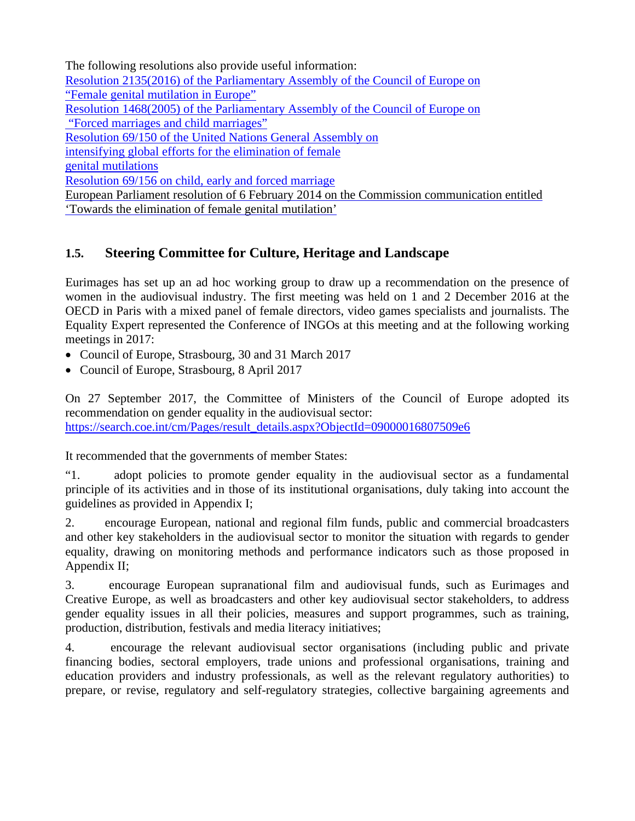The following resolutions also provide useful information: [Resolution 2135\(2016\) of the Parliamentary Assembly of the Council of Europe on](http://semantic-pace.net/tools/pdf.aspx?doc=aHR0cDovL2Fzc2VtYmx5LmNvZS5pbnQvbncveG1sL1hSZWYvWDJILURXLWV4dHIuYXNwP2ZpbGVpZD0yMzE3NiZsYW5nPUVO&xsl=aHR0cDovL3NlbWFudGljcGFjZS5uZXQvWHNsdC9QZGYvWFJlZi1XRC1BVC1YTUwyUERGLnhzbA==&xsltparams=ZmlsZWlkPTIzMTc2)  ["Female genital mutilation in Europe"](http://semantic-pace.net/tools/pdf.aspx?doc=aHR0cDovL2Fzc2VtYmx5LmNvZS5pbnQvbncveG1sL1hSZWYvWDJILURXLWV4dHIuYXNwP2ZpbGVpZD0yMzE3NiZsYW5nPUVO&xsl=aHR0cDovL3NlbWFudGljcGFjZS5uZXQvWHNsdC9QZGYvWFJlZi1XRC1BVC1YTUwyUERGLnhzbA==&xsltparams=ZmlsZWlkPTIzMTc2) [Resolution 1468\(2005\) of the Parliamentary Assembly of the Council of Europe on](http://semantic-pace.net/tools/pdf.aspx?doc=aHR0cDovL2Fzc2VtYmx5LmNvZS5pbnQvbncveG1sL1hSZWYvWDJILURXLWV4dHIuYXNwP2ZpbGVpZD0xNzM4MCZsYW5nPUVO&xsl=aHR0cDovL3NlbWFudGljcGFjZS5uZXQvWHNsdC9QZGYvWFJlZi1XRC1BVC1YTUwyUERGLnhzbA==&xsltparams=ZmlsZWlkPTE3Mzgw)  ["Forced marriages and child marriages"](http://semantic-pace.net/tools/pdf.aspx?doc=aHR0cDovL2Fzc2VtYmx5LmNvZS5pbnQvbncveG1sL1hSZWYvWDJILURXLWV4dHIuYXNwP2ZpbGVpZD0xNzM4MCZsYW5nPUVO&xsl=aHR0cDovL3NlbWFudGljcGFjZS5uZXQvWHNsdC9QZGYvWFJlZi1XRC1BVC1YTUwyUERGLnhzbA==&xsltparams=ZmlsZWlkPTE3Mzgw) [Resolution 69/150 of the United Nations General Assembly on](http://www.un.org/en/ga/search/view_doc.asp?symbol=A/RES/69/150)  [intensifying global efforts for the elimination of female](http://www.un.org/en/ga/search/view_doc.asp?symbol=A/RES/69/150) [genital mutilations](http://www.un.org/en/ga/search/view_doc.asp?symbol=A/RES/69/150) [Resolution 69/156 on child, early and forced marriage](http://www.un.org/en/ga/search/view_doc.asp?symbol=A/RES/69/156) [European Parliament resolution of 6 February 2014 on the Commission communication entitled](http://www.europarl.europa.eu/sides/getDoc.do?pubRef=-//EP//TEXT+TA+P7-TA-2014-0105+0+DOC+XML+V0//EN)  ['Towards the elimination of female genital mutilation'](http://www.europarl.europa.eu/sides/getDoc.do?pubRef=-//EP//TEXT+TA+P7-TA-2014-0105+0+DOC+XML+V0//EN)

# **1.5. Steering Committee for Culture, Heritage and Landscape**

Eurimages has set up an ad hoc working group to draw up a recommendation on the presence of women in the audiovisual industry. The first meeting was held on 1 and 2 December 2016 at the OECD in Paris with a mixed panel of female directors, video games specialists and journalists. The Equality Expert represented the Conference of INGOs at this meeting and at the following working meetings in 2017:

- Council of Europe, Strasbourg, 30 and 31 March 2017
- Council of Europe, Strasbourg, 8 April 2017

On 27 September 2017, the Committee of Ministers of the Council of Europe adopted its recommendation on gender equality in the audiovisual sector: [https://search.coe.int/cm/Pages/result\\_details.aspx?ObjectId=09000016807509e6](https://search.coe.int/cm/Pages/result_details.aspx?ObjectId=09000016807509e6)

It recommended that the governments of member States:

"1. adopt policies to promote gender equality in the audiovisual sector as a fundamental principle of its activities and in those of its institutional organisations, duly taking into account the guidelines as provided in Appendix I;

2. encourage European, national and regional film funds, public and commercial broadcasters and other key stakeholders in the audiovisual sector to monitor the situation with regards to gender equality, drawing on monitoring methods and performance indicators such as those proposed in Appendix II;

3. encourage European supranational film and audiovisual funds, such as Eurimages and Creative Europe, as well as broadcasters and other key audiovisual sector stakeholders, to address gender equality issues in all their policies, measures and support programmes, such as training, production, distribution, festivals and media literacy initiatives;

4. encourage the relevant audiovisual sector organisations (including public and private financing bodies, sectoral employers, trade unions and professional organisations, training and education providers and industry professionals, as well as the relevant regulatory authorities) to prepare, or revise, regulatory and self-regulatory strategies, collective bargaining agreements and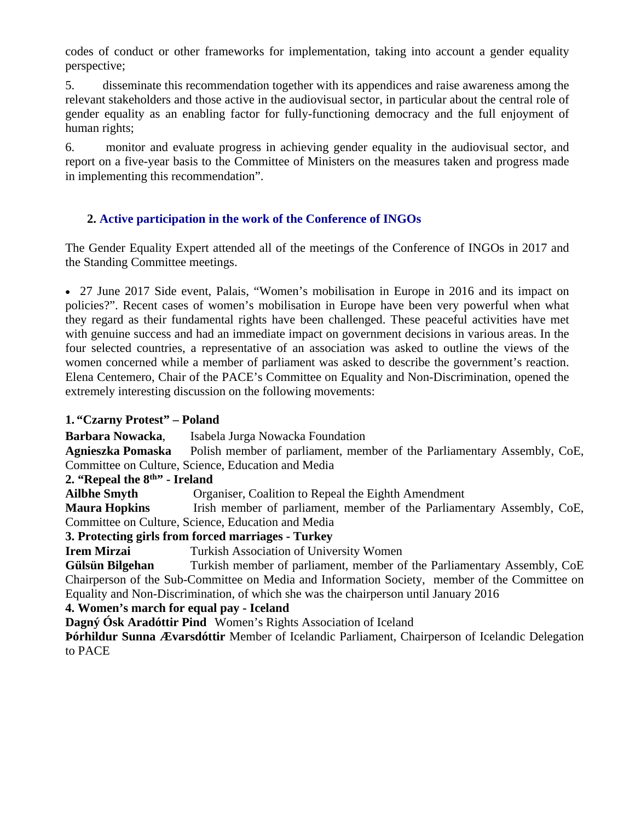codes of conduct or other frameworks for implementation, taking into account a gender equality perspective;

5. disseminate this recommendation together with its appendices and raise awareness among the relevant stakeholders and those active in the audiovisual sector, in particular about the central role of gender equality as an enabling factor for fully-functioning democracy and the full enjoyment of human rights;

6. monitor and evaluate progress in achieving gender equality in the audiovisual sector, and report on a five-year basis to the Committee of Ministers on the measures taken and progress made in implementing this recommendation".

## **2. Active participation in the work of the Conference of INGOs**

The Gender Equality Expert attended all of the meetings of the Conference of INGOs in 2017 and the Standing Committee meetings.

 27 June 2017 Side event, Palais, "Women's mobilisation in Europe in 2016 and its impact on policies?". Recent cases of women's mobilisation in Europe have been very powerful when what they regard as their fundamental rights have been challenged. These peaceful activities have met with genuine success and had an immediate impact on government decisions in various areas. In the four selected countries, a representative of an association was asked to outline the views of the women concerned while a member of parliament was asked to describe the government's reaction. Elena Centemero, Chair of the PACE's Committee on Equality and Non-Discrimination, opened the extremely interesting discussion on the following movements:

## **1. "Czarny Protest" – Poland**

**Barbara Nowacka**, Isabela Jurga Nowacka Foundation **Agnieszka Pomaska** Polish member of parliament, member of the Parliamentary Assembly, CoE, Committee on Culture, Science, Education and Media

## **2. "Repeal the 8th" - Ireland**

**Ailbhe Smyth** Organiser, Coalition to Repeal the Eighth Amendment

**Maura Hopkins** Irish member of parliament, member of the Parliamentary Assembly, CoE, Committee on Culture, Science, Education and Media

## **3. Protecting girls from forced marriages - Turkey**

**Irem Mirzai** Turkish Association of University Women

**Gülsün Bilgehan** Turkish member of parliament, member of the Parliamentary Assembly, CoE Chairperson of the Sub-Committee on Media and Information Society, member of the Committee on Equality and Non-Discrimination, of which she was the chairperson until January 2016

## **4. Women's march for equal pay - Iceland**

**Dagný Ósk Aradóttir Pind** Women's Rights Association of Iceland

**Þórhildur Sunna Ævarsdóttir** Member of Icelandic Parliament, Chairperson of Icelandic Delegation to PACE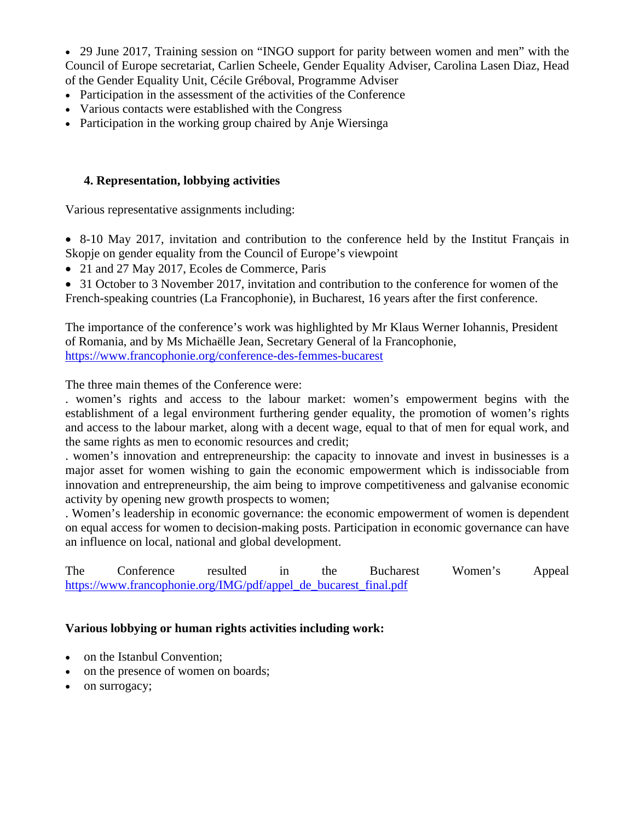29 June 2017, Training session on "INGO support for parity between women and men" with the Council of Europe secretariat, Carlien Scheele, Gender Equality Adviser, Carolina Lasen Diaz, Head of the Gender Equality Unit, Cécile Gréboval, Programme Adviser

- Participation in the assessment of the activities of the Conference
- Various contacts were established with the Congress
- Participation in the working group chaired by Anje Wiersinga

#### **4. Representation, lobbying activities**

Various representative assignments including:

- 8-10 May 2017, invitation and contribution to the conference held by the Institut Français in Skopje on gender equality from the Council of Europe's viewpoint
- 21 and 27 May 2017, Ecoles de Commerce, Paris
- 31 October to 3 November 2017, invitation and contribution to the conference for women of the French-speaking countries (La Francophonie), in Bucharest, 16 years after the first conference.

The importance of the conference's work was highlighted by Mr Klaus Werner Iohannis, President of Romania, and by Ms Michaëlle Jean, Secretary General of la Francophonie, <https://www.francophonie.org/conference-des-femmes-bucarest>

The three main themes of the Conference were:

. women's rights and access to the labour market: women's empowerment begins with the establishment of a legal environment furthering gender equality, the promotion of women's rights and access to the labour market, along with a decent wage, equal to that of men for equal work, and the same rights as men to economic resources and credit;

. women's innovation and entrepreneurship: the capacity to innovate and invest in businesses is a major asset for women wishing to gain the economic empowerment which is indissociable from innovation and entrepreneurship, the aim being to improve competitiveness and galvanise economic activity by opening new growth prospects to women;

. Women's leadership in economic governance: the economic empowerment of women is dependent on equal access for women to decision-making posts. Participation in economic governance can have an influence on local, national and global development.

The Conference resulted in the Bucharest Women's Appeal [https://www.francophonie.org/IMG/pdf/appel\\_de\\_bucarest\\_final.pdf](https://www.francophonie.org/IMG/pdf/appel_de_bucarest_final.pdf)

## **Various lobbying or human rights activities including work:**

- on the Istanbul Convention:
- on the presence of women on boards;
- on surrogacy;